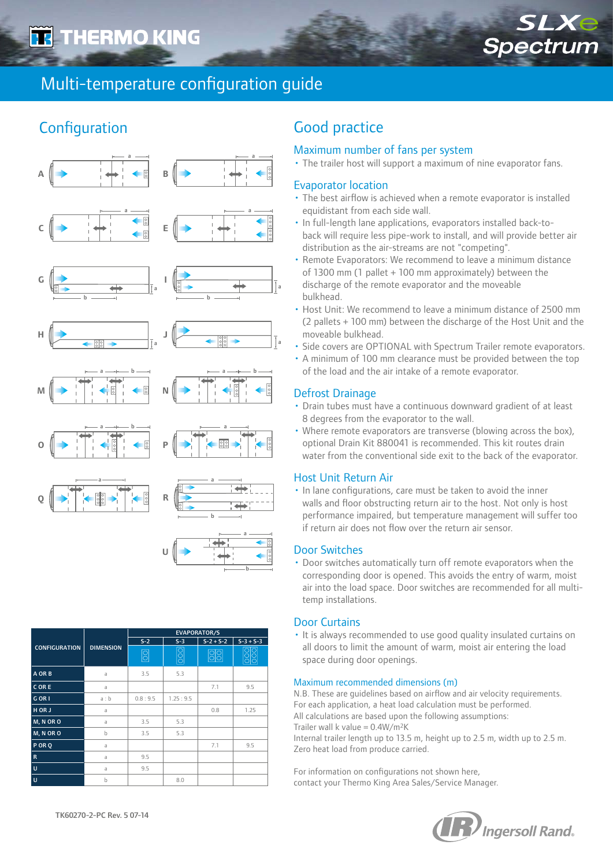

# Multi-temperature configuration guide

## **Configuration**



|                      | <b>DIMENSION</b> | <b>EVAPORATOR/S</b> |          |                 |             |  |
|----------------------|------------------|---------------------|----------|-----------------|-------------|--|
| <b>CONFIGURATION</b> |                  | $S-2$<br>$S-3$      |          | $S - 2 + S - 2$ | $S-3 + S-3$ |  |
|                      |                  | $\boxed{0}$         | 000      | 88              |             |  |
| A OR B               | a                | 3.5                 | 5.3      |                 |             |  |
| CORE                 | a                |                     |          | 7.1             | 9.5         |  |
| G OR I               | a:b              | 0.8:9.5             | 1.25:9.5 |                 |             |  |
| H OR J               | a                |                     |          | 0.8             | 1.25        |  |
| M, N OR O            | a                | 3.5                 | 5.3      |                 |             |  |
| M, N OR O            | $\mathsf b$      | 3.5                 | 5.3      |                 |             |  |
| PORQ                 | a                |                     |          | 7.1             | 9.5         |  |
| $\mathbf R$          | a                | 9.5                 |          |                 |             |  |
| ΙU                   | a                | 9.5                 |          |                 |             |  |
| ΙU                   | b                |                     | 8.0      |                 |             |  |

### Good practice

#### Maximum number of fans per system

• The trailer host will support a maximum of nine evaporator fans.

#### Evaporator location

- The best airflow is achieved when a remote evaporator is installed equidistant from each side wall.
- In full-length lane applications, evaporators installed back-toback will require less pipe-work to install, and will provide better air distribution as the air-streams are not "competing".
- Remote Evaporators: We recommend to leave a minimum distance of 1300 mm (1 pallet + 100 mm approximately) between the discharge of the remote evaporator and the moveable bulkhead.
- Host Unit: We recommend to leave a minimum distance of 2500 mm (2 pallets + 100 mm) between the discharge of the Host Unit and the moveable bulkhead.
- Side covers are OPTIONAL with Spectrum Trailer remote evaporators.
- A minimum of 100 mm clearance must be provided between the top of the load and the air intake of a remote evaporator.

#### Defrost Drainage

- Drain tubes must have a continuous downward gradient of at least 8 degrees from the evaporator to the wall.
- Where remote evaporators are transverse (blowing across the box), optional Drain Kit 880041 is recommended. This kit routes drain water from the conventional side exit to the back of the evaporator.

#### Host Unit Return Air

• In lane configurations, care must be taken to avoid the inner walls and floor obstructing return air to the host. Not only is host performance impaired, but temperature management will suffer too if return air does not flow over the return air sensor.

#### Door Switches

b

• Door switches automatically turn off remote evaporators when the corresponding door is opened. This avoids the entry of warm, moist air into the load space. Door switches are recommended for all multitemp installations.

#### Door Curtains

• It is always recommended to use good quality insulated curtains on all doors to limit the amount of warm, moist air entering the load space during door openings.

#### Maximum recommended dimensions (m)

N.B. These are guidelines based on airflow and air velocity requirements. For each application, a heat load calculation must be performed. All calculations are based upon the following assumptions:

Trailer wall k value =  $0.4W/m^2K$ 

Internal trailer length up to 13.5 m, height up to 2.5 m, width up to 2.5 m. Zero heat load from produce carried.

For information on configurations not shown here, contact your Thermo King Area Sales/Service Manager.